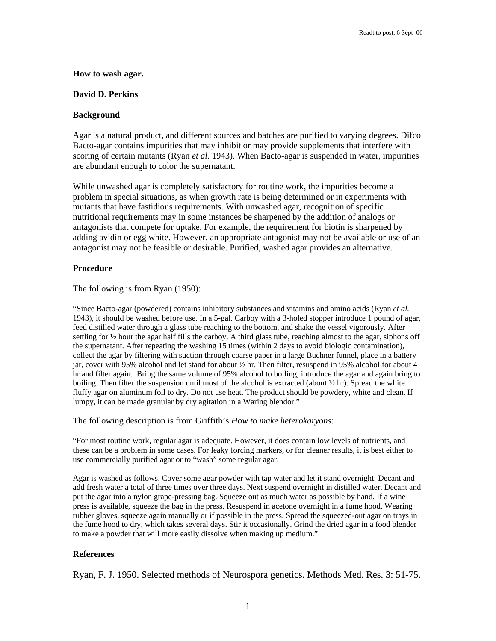### **How to wash agar.**

## **David D. Perkins**

## **Background**

Agar is a natural product, and different sources and batches are purified to varying degrees. Difco Bacto-agar contains impurities that may inhibit or may provide supplements that interfere with scoring of certain mutants (Ryan *et al.* 1943). When Bacto-agar is suspended in water, impurities are abundant enough to color the supernatant.

While unwashed agar is completely satisfactory for routine work, the impurities become a problem in special situations, as when growth rate is being determined or in experiments with mutants that have fastidious requirements. With unwashed agar, recognition of specific nutritional requirements may in some instances be sharpened by the addition of analogs or antagonists that compete for uptake. For example, the requirement for biotin is sharpened by adding avidin or egg white. However, an appropriate antagonist may not be available or use of an antagonist may not be feasible or desirable. Purified, washed agar provides an alternative.

## **Procedure**

The following is from Ryan (1950):

"Since Bacto-agar (powdered) contains inhibitory substances and vitamins and amino acids (Ryan *et al.* 1943), it should be washed before use. In a 5-gal. Carboy with a 3-holed stopper introduce 1 pound of agar, feed distilled water through a glass tube reaching to the bottom, and shake the vessel vigorously. After settling for  $\frac{1}{2}$  hour the agar half fills the carboy. A third glass tube, reaching almost to the agar, siphons off the supernatant. After repeating the washing 15 times (within 2 days to avoid biologic contamination), collect the agar by filtering with suction through coarse paper in a large Buchner funnel, place in a battery jar, cover with 95% alcohol and let stand for about ½ hr. Then filter, resuspend in 95% alcohol for about 4 hr and filter again. Bring the same volume of 95% alcohol to boiling, introduce the agar and again bring to boiling. Then filter the suspension until most of the alcohol is extracted (about  $\frac{1}{2}$  hr). Spread the white fluffy agar on aluminum foil to dry. Do not use heat. The product should be powdery, white and clean. If lumpy, it can be made granular by dry agitation in a Waring blendor."

The following description is from Griffith's *How to make heterokaryons*:

"For most routine work, regular agar is adequate. However, it does contain low levels of nutrients, and these can be a problem in some cases. For leaky forcing markers, or for cleaner results, it is best either to use commercially purified agar or to "wash" some regular agar.

Agar is washed as follows. Cover some agar powder with tap water and let it stand overnight. Decant and add fresh water a total of three times over three days. Next suspend overnight in distilled water. Decant and put the agar into a nylon grape-pressing bag. Squeeze out as much water as possible by hand. If a wine press is available, squeeze the bag in the press. Resuspend in acetone overnight in a fume hood. Wearing rubber gloves, squeeze again manually or if possible in the press. Spread the squeezed-out agar on trays in the fume hood to dry, which takes several days. Stir it occasionally. Grind the dried agar in a food blender to make a powder that will more easily dissolve when making up medium."

# **References**

Ryan, F. J. 1950. Selected methods of Neurospora genetics. Methods Med. Res. 3: 51-75.